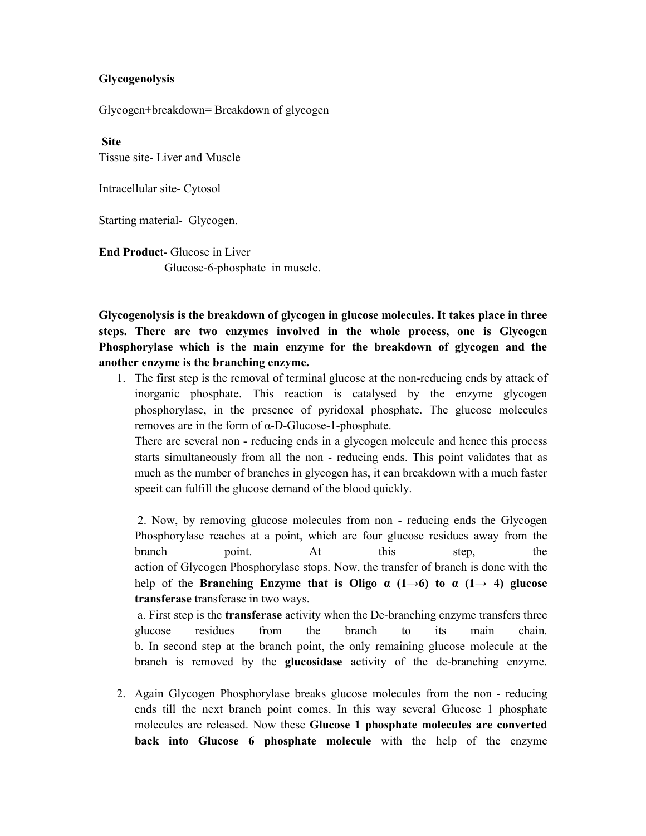## **Glycogenolysis**

Glycogen+breakdown= Breakdown of glycogen

**Site**

Tissue site- Liver and Muscle

Intracellular site- Cytosol

Starting material- Glycogen.

**End Produc**t- Glucose in Liver Glucose-6-phosphate in muscle.

**Glycogenolysis is the breakdown of glycogen in glucose molecules. It takes place in three steps. There are two enzymes involved in the whole process, one is Glycogen Phosphorylase which is the main enzyme for the breakdown of glycogen and the another enzyme is the branching enzyme.**

1. The first step is the removal of terminal glucose at the non-reducing ends by attack of inorganic phosphate. This reaction is catalysed by the enzyme glycogen phosphorylase, in the presence of pyridoxal phosphate. The glucose molecules removes are in the form of α-D-Glucose-1-phosphate.

There are several non - reducing ends in a glycogen molecule and hence this process starts simultaneously from all the non - reducing ends. This point validates that as much as the number of branches in glycogen has, it can breakdown with a much faster speeit can fulfill the glucose demand of the blood quickly.

2. Now, by removing glucose molecules from non - reducing ends the Glycogen Phosphorylase reaches at a point, which are four glucose residues away from the branch point. At this step, the action of Glycogen Phosphorylase stops. Now, the transfer of branch is done with the help of the **Branching Enzyme that is Oligo**  $\alpha$  (1 $\rightarrow$ 6) to  $\alpha$  (1 $\rightarrow$  4) glucose **transferase** transferase in two ways.

a. First step is the **transferase** activity when the De-branching enzyme transfers three glucose residues from the branch to its main chain. b. In second step at the branch point, the only remaining glucose molecule at the branch is removed by the **glucosidase** activity of the de-branching enzyme.

2. Again Glycogen Phosphorylase breaks glucose molecules from the non - reducing ends till the next branch point comes. In this way several Glucose 1 phosphate molecules are released. Now these **Glucose 1 phosphate molecules are converted back into Glucose 6 phosphate molecule** with the help of the enzyme